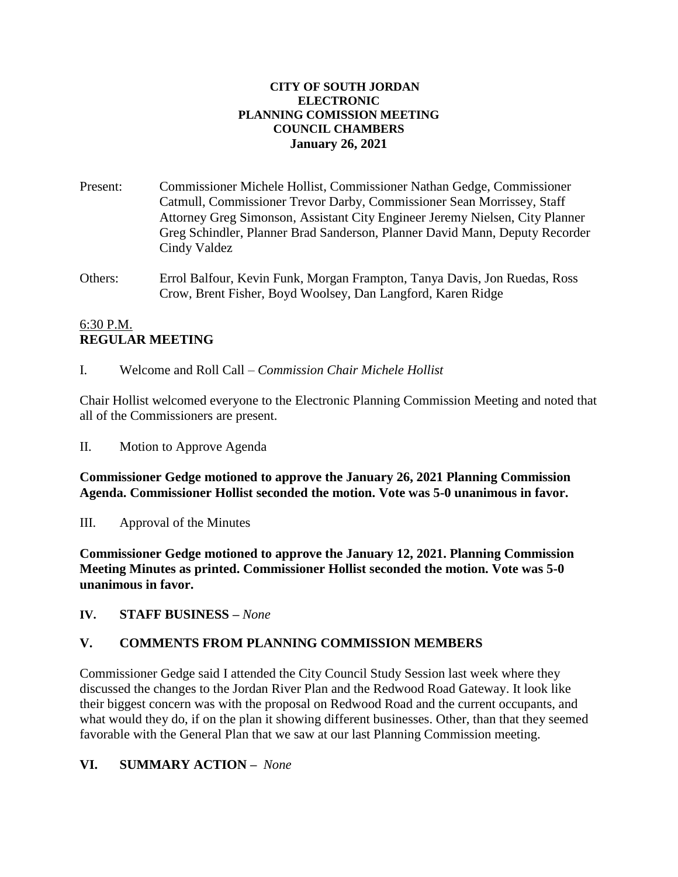#### **CITY OF SOUTH JORDAN ELECTRONIC PLANNING COMISSION MEETING COUNCIL CHAMBERS January 26, 2021**

- Present: Commissioner Michele Hollist, Commissioner Nathan Gedge, Commissioner Catmull, Commissioner Trevor Darby, Commissioner Sean Morrissey, Staff Attorney Greg Simonson, Assistant City Engineer Jeremy Nielsen, City Planner Greg Schindler, Planner Brad Sanderson, Planner David Mann, Deputy Recorder Cindy Valdez
- Others: Errol Balfour, Kevin Funk, Morgan Frampton, Tanya Davis, Jon Ruedas, Ross Crow, Brent Fisher, Boyd Woolsey, Dan Langford, Karen Ridge

### 6:30 P.M. **REGULAR MEETING**

I. Welcome and Roll Call – *Commission Chair Michele Hollist*

Chair Hollist welcomed everyone to the Electronic Planning Commission Meeting and noted that all of the Commissioners are present.

II. Motion to Approve Agenda

**Commissioner Gedge motioned to approve the January 26, 2021 Planning Commission Agenda. Commissioner Hollist seconded the motion. Vote was 5-0 unanimous in favor.**

III. Approval of the Minutes

**Commissioner Gedge motioned to approve the January 12, 2021. Planning Commission Meeting Minutes as printed. Commissioner Hollist seconded the motion. Vote was 5-0 unanimous in favor.**

**IV. STAFF BUSINESS –** *None*

# **V. COMMENTS FROM PLANNING COMMISSION MEMBERS**

Commissioner Gedge said I attended the City Council Study Session last week where they discussed the changes to the Jordan River Plan and the Redwood Road Gateway. It look like their biggest concern was with the proposal on Redwood Road and the current occupants, and what would they do, if on the plan it showing different businesses. Other, than that they seemed favorable with the General Plan that we saw at our last Planning Commission meeting.

# **VI. SUMMARY ACTION –** *None*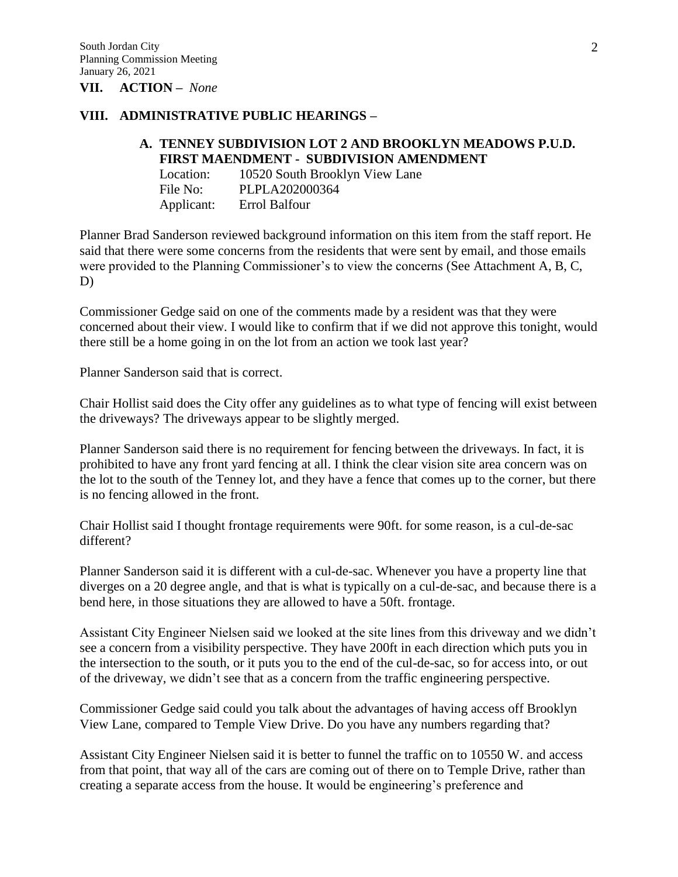**VII. ACTION –** *None*

#### **VIII. ADMINISTRATIVE PUBLIC HEARINGS –**

### **A. TENNEY SUBDIVISION LOT 2 AND BROOKLYN MEADOWS P.U.D. FIRST MAENDMENT - SUBDIVISION AMENDMENT**

| Location:  | 10520 South Brooklyn View Lane |
|------------|--------------------------------|
| File No:   | PLPLA202000364                 |
| Applicant: | Errol Balfour                  |

Planner Brad Sanderson reviewed background information on this item from the staff report. He said that there were some concerns from the residents that were sent by email, and those emails were provided to the Planning Commissioner's to view the concerns (See Attachment A, B, C, D)

Commissioner Gedge said on one of the comments made by a resident was that they were concerned about their view. I would like to confirm that if we did not approve this tonight, would there still be a home going in on the lot from an action we took last year?

Planner Sanderson said that is correct.

Chair Hollist said does the City offer any guidelines as to what type of fencing will exist between the driveways? The driveways appear to be slightly merged.

Planner Sanderson said there is no requirement for fencing between the driveways. In fact, it is prohibited to have any front yard fencing at all. I think the clear vision site area concern was on the lot to the south of the Tenney lot, and they have a fence that comes up to the corner, but there is no fencing allowed in the front.

Chair Hollist said I thought frontage requirements were 90ft. for some reason, is a cul-de-sac different?

Planner Sanderson said it is different with a cul-de-sac. Whenever you have a property line that diverges on a 20 degree angle, and that is what is typically on a cul-de-sac, and because there is a bend here, in those situations they are allowed to have a 50ft. frontage.

Assistant City Engineer Nielsen said we looked at the site lines from this driveway and we didn't see a concern from a visibility perspective. They have 200ft in each direction which puts you in the intersection to the south, or it puts you to the end of the cul-de-sac, so for access into, or out of the driveway, we didn't see that as a concern from the traffic engineering perspective.

Commissioner Gedge said could you talk about the advantages of having access off Brooklyn View Lane, compared to Temple View Drive. Do you have any numbers regarding that?

Assistant City Engineer Nielsen said it is better to funnel the traffic on to 10550 W. and access from that point, that way all of the cars are coming out of there on to Temple Drive, rather than creating a separate access from the house. It would be engineering's preference and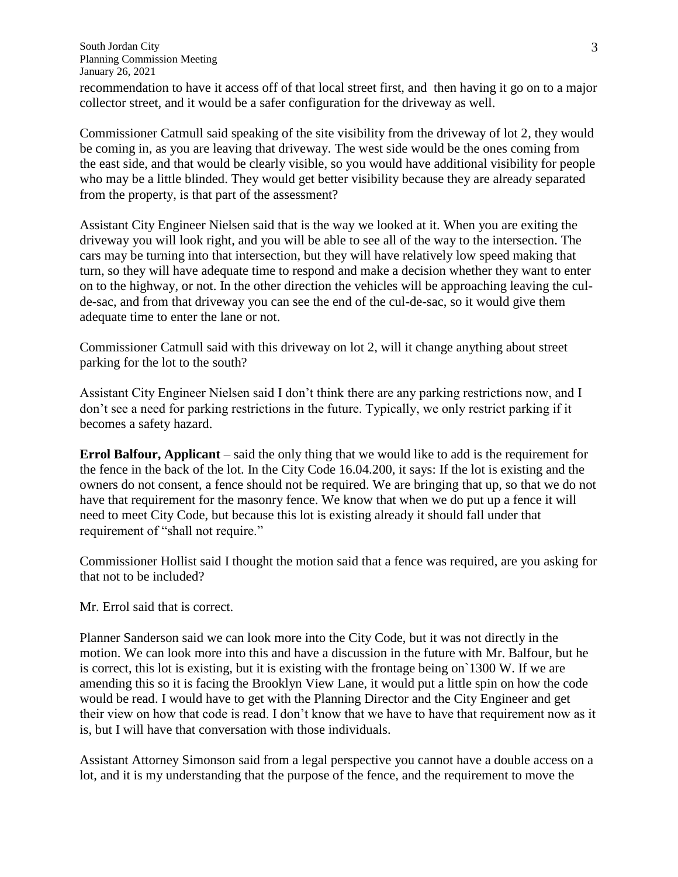recommendation to have it access off of that local street first, and then having it go on to a major collector street, and it would be a safer configuration for the driveway as well.

Commissioner Catmull said speaking of the site visibility from the driveway of lot 2, they would be coming in, as you are leaving that driveway. The west side would be the ones coming from the east side, and that would be clearly visible, so you would have additional visibility for people who may be a little blinded. They would get better visibility because they are already separated from the property, is that part of the assessment?

Assistant City Engineer Nielsen said that is the way we looked at it. When you are exiting the driveway you will look right, and you will be able to see all of the way to the intersection. The cars may be turning into that intersection, but they will have relatively low speed making that turn, so they will have adequate time to respond and make a decision whether they want to enter on to the highway, or not. In the other direction the vehicles will be approaching leaving the culde-sac, and from that driveway you can see the end of the cul-de-sac, so it would give them adequate time to enter the lane or not.

Commissioner Catmull said with this driveway on lot 2, will it change anything about street parking for the lot to the south?

Assistant City Engineer Nielsen said I don't think there are any parking restrictions now, and I don't see a need for parking restrictions in the future. Typically, we only restrict parking if it becomes a safety hazard.

**Errol Balfour, Applicant** – said the only thing that we would like to add is the requirement for the fence in the back of the lot. In the City Code 16.04.200, it says: If the lot is existing and the owners do not consent, a fence should not be required. We are bringing that up, so that we do not have that requirement for the masonry fence. We know that when we do put up a fence it will need to meet City Code, but because this lot is existing already it should fall under that requirement of "shall not require."

Commissioner Hollist said I thought the motion said that a fence was required, are you asking for that not to be included?

Mr. Errol said that is correct.

Planner Sanderson said we can look more into the City Code, but it was not directly in the motion. We can look more into this and have a discussion in the future with Mr. Balfour, but he is correct, this lot is existing, but it is existing with the frontage being on`1300 W. If we are amending this so it is facing the Brooklyn View Lane, it would put a little spin on how the code would be read. I would have to get with the Planning Director and the City Engineer and get their view on how that code is read. I don't know that we have to have that requirement now as it is, but I will have that conversation with those individuals.

Assistant Attorney Simonson said from a legal perspective you cannot have a double access on a lot, and it is my understanding that the purpose of the fence, and the requirement to move the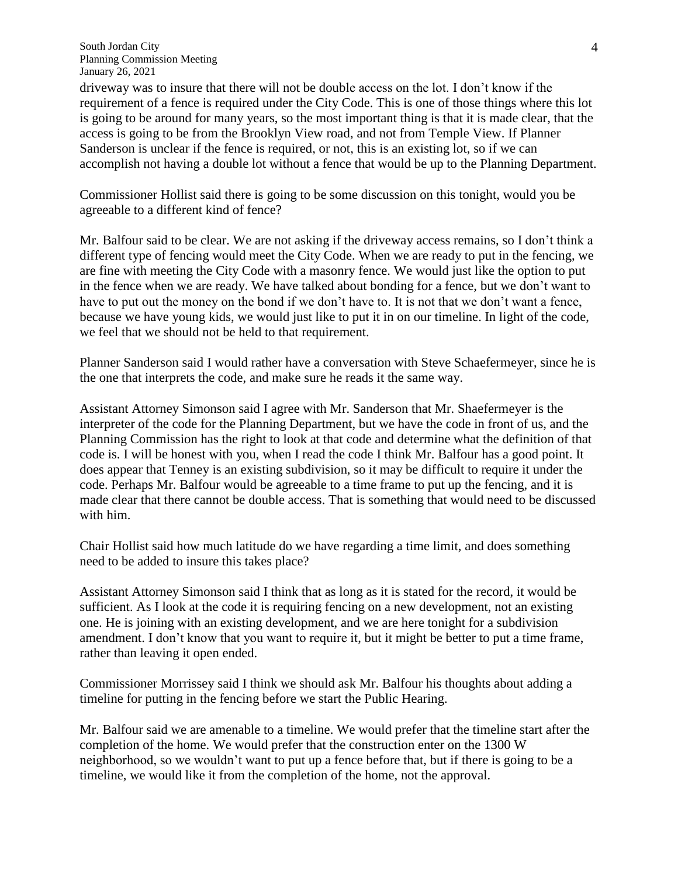driveway was to insure that there will not be double access on the lot. I don't know if the requirement of a fence is required under the City Code. This is one of those things where this lot is going to be around for many years, so the most important thing is that it is made clear, that the access is going to be from the Brooklyn View road, and not from Temple View. If Planner Sanderson is unclear if the fence is required, or not, this is an existing lot, so if we can accomplish not having a double lot without a fence that would be up to the Planning Department.

Commissioner Hollist said there is going to be some discussion on this tonight, would you be agreeable to a different kind of fence?

Mr. Balfour said to be clear. We are not asking if the driveway access remains, so I don't think a different type of fencing would meet the City Code. When we are ready to put in the fencing, we are fine with meeting the City Code with a masonry fence. We would just like the option to put in the fence when we are ready. We have talked about bonding for a fence, but we don't want to have to put out the money on the bond if we don't have to. It is not that we don't want a fence, because we have young kids, we would just like to put it in on our timeline. In light of the code, we feel that we should not be held to that requirement.

Planner Sanderson said I would rather have a conversation with Steve Schaefermeyer, since he is the one that interprets the code, and make sure he reads it the same way.

Assistant Attorney Simonson said I agree with Mr. Sanderson that Mr. Shaefermeyer is the interpreter of the code for the Planning Department, but we have the code in front of us, and the Planning Commission has the right to look at that code and determine what the definition of that code is. I will be honest with you, when I read the code I think Mr. Balfour has a good point. It does appear that Tenney is an existing subdivision, so it may be difficult to require it under the code. Perhaps Mr. Balfour would be agreeable to a time frame to put up the fencing, and it is made clear that there cannot be double access. That is something that would need to be discussed with him.

Chair Hollist said how much latitude do we have regarding a time limit, and does something need to be added to insure this takes place?

Assistant Attorney Simonson said I think that as long as it is stated for the record, it would be sufficient. As I look at the code it is requiring fencing on a new development, not an existing one. He is joining with an existing development, and we are here tonight for a subdivision amendment. I don't know that you want to require it, but it might be better to put a time frame, rather than leaving it open ended.

Commissioner Morrissey said I think we should ask Mr. Balfour his thoughts about adding a timeline for putting in the fencing before we start the Public Hearing.

Mr. Balfour said we are amenable to a timeline. We would prefer that the timeline start after the completion of the home. We would prefer that the construction enter on the 1300 W neighborhood, so we wouldn't want to put up a fence before that, but if there is going to be a timeline, we would like it from the completion of the home, not the approval.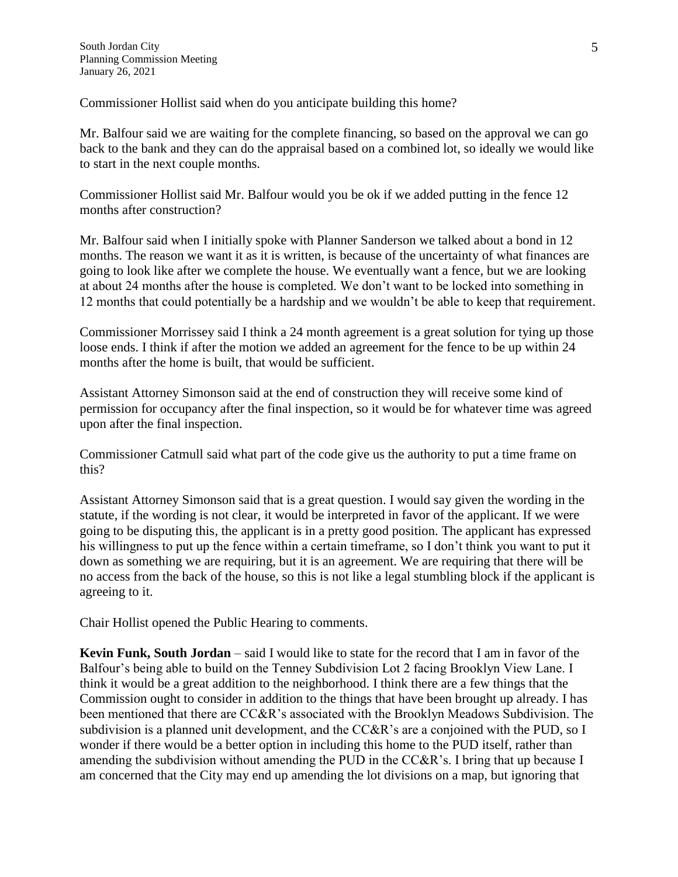Commissioner Hollist said when do you anticipate building this home?

Mr. Balfour said we are waiting for the complete financing, so based on the approval we can go back to the bank and they can do the appraisal based on a combined lot, so ideally we would like to start in the next couple months.

Commissioner Hollist said Mr. Balfour would you be ok if we added putting in the fence 12 months after construction?

Mr. Balfour said when I initially spoke with Planner Sanderson we talked about a bond in 12 months. The reason we want it as it is written, is because of the uncertainty of what finances are going to look like after we complete the house. We eventually want a fence, but we are looking at about 24 months after the house is completed. We don't want to be locked into something in 12 months that could potentially be a hardship and we wouldn't be able to keep that requirement.

Commissioner Morrissey said I think a 24 month agreement is a great solution for tying up those loose ends. I think if after the motion we added an agreement for the fence to be up within 24 months after the home is built, that would be sufficient.

Assistant Attorney Simonson said at the end of construction they will receive some kind of permission for occupancy after the final inspection, so it would be for whatever time was agreed upon after the final inspection.

Commissioner Catmull said what part of the code give us the authority to put a time frame on this?

Assistant Attorney Simonson said that is a great question. I would say given the wording in the statute, if the wording is not clear, it would be interpreted in favor of the applicant. If we were going to be disputing this, the applicant is in a pretty good position. The applicant has expressed his willingness to put up the fence within a certain timeframe, so I don't think you want to put it down as something we are requiring, but it is an agreement. We are requiring that there will be no access from the back of the house, so this is not like a legal stumbling block if the applicant is agreeing to it.

Chair Hollist opened the Public Hearing to comments.

**Kevin Funk, South Jordan** – said I would like to state for the record that I am in favor of the Balfour's being able to build on the Tenney Subdivision Lot 2 facing Brooklyn View Lane. I think it would be a great addition to the neighborhood. I think there are a few things that the Commission ought to consider in addition to the things that have been brought up already. I has been mentioned that there are CC&R's associated with the Brooklyn Meadows Subdivision. The subdivision is a planned unit development, and the CC&R's are a conjoined with the PUD, so I wonder if there would be a better option in including this home to the PUD itself, rather than amending the subdivision without amending the PUD in the CC&R's. I bring that up because I am concerned that the City may end up amending the lot divisions on a map, but ignoring that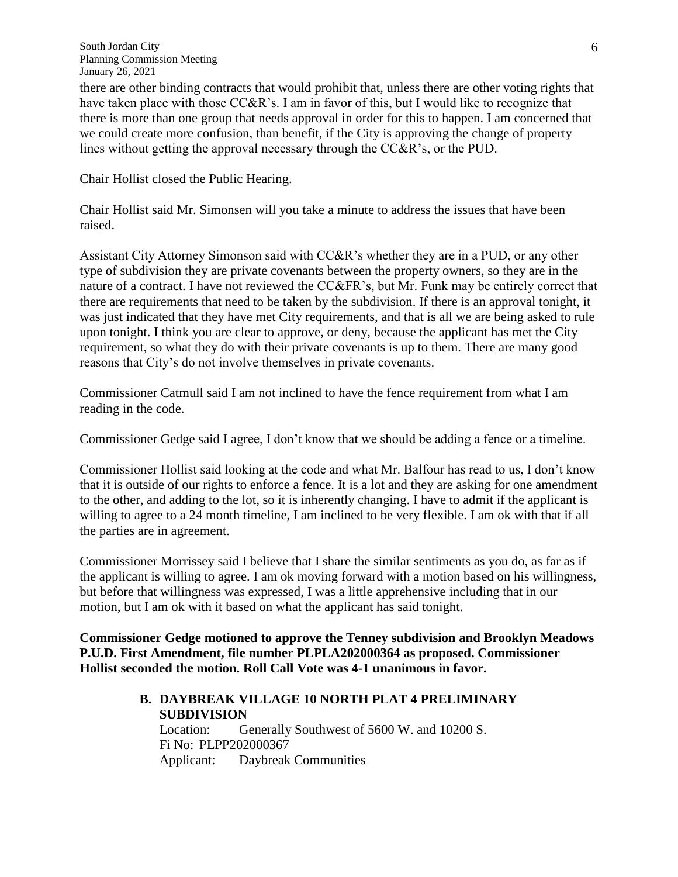there are other binding contracts that would prohibit that, unless there are other voting rights that have taken place with those CC&R's. I am in favor of this, but I would like to recognize that there is more than one group that needs approval in order for this to happen. I am concerned that we could create more confusion, than benefit, if the City is approving the change of property lines without getting the approval necessary through the CC&R's, or the PUD.

Chair Hollist closed the Public Hearing.

Chair Hollist said Mr. Simonsen will you take a minute to address the issues that have been raised.

Assistant City Attorney Simonson said with CC&R's whether they are in a PUD, or any other type of subdivision they are private covenants between the property owners, so they are in the nature of a contract. I have not reviewed the CC&FR's, but Mr. Funk may be entirely correct that there are requirements that need to be taken by the subdivision. If there is an approval tonight, it was just indicated that they have met City requirements, and that is all we are being asked to rule upon tonight. I think you are clear to approve, or deny, because the applicant has met the City requirement, so what they do with their private covenants is up to them. There are many good reasons that City's do not involve themselves in private covenants.

Commissioner Catmull said I am not inclined to have the fence requirement from what I am reading in the code.

Commissioner Gedge said I agree, I don't know that we should be adding a fence or a timeline.

Commissioner Hollist said looking at the code and what Mr. Balfour has read to us, I don't know that it is outside of our rights to enforce a fence. It is a lot and they are asking for one amendment to the other, and adding to the lot, so it is inherently changing. I have to admit if the applicant is willing to agree to a 24 month timeline, I am inclined to be very flexible. I am ok with that if all the parties are in agreement.

Commissioner Morrissey said I believe that I share the similar sentiments as you do, as far as if the applicant is willing to agree. I am ok moving forward with a motion based on his willingness, but before that willingness was expressed, I was a little apprehensive including that in our motion, but I am ok with it based on what the applicant has said tonight.

**Commissioner Gedge motioned to approve the Tenney subdivision and Brooklyn Meadows P.U.D. First Amendment, file number PLPLA202000364 as proposed. Commissioner Hollist seconded the motion. Roll Call Vote was 4-1 unanimous in favor.** 

#### **B. DAYBREAK VILLAGE 10 NORTH PLAT 4 PRELIMINARY SUBDIVISION**

Location: Generally Southwest of 5600 W. and 10200 S. Fi No: PLPP202000367 Applicant: Daybreak Communities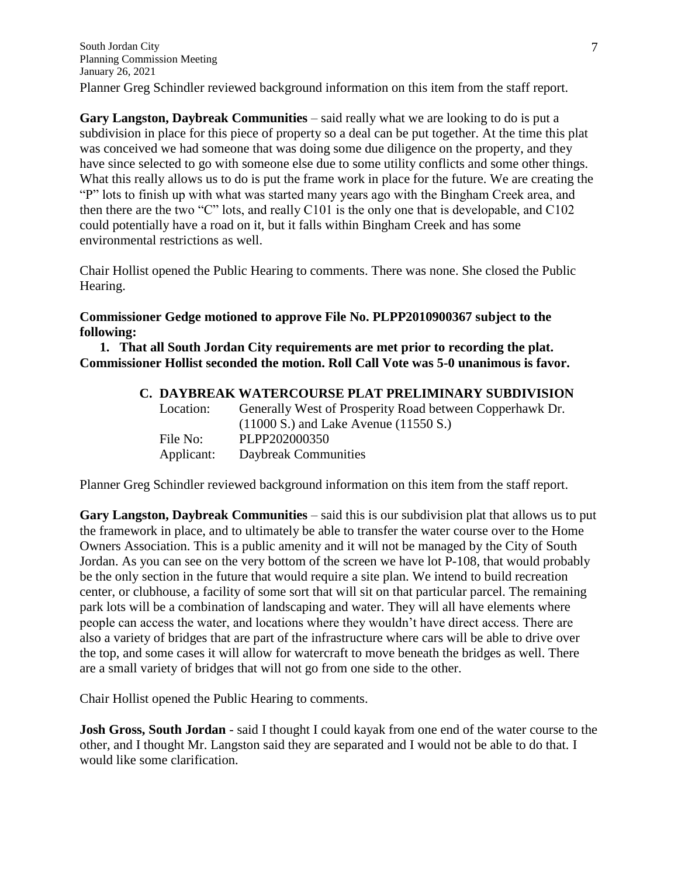**Gary Langston, Daybreak Communities** – said really what we are looking to do is put a subdivision in place for this piece of property so a deal can be put together. At the time this plat was conceived we had someone that was doing some due diligence on the property, and they have since selected to go with someone else due to some utility conflicts and some other things. What this really allows us to do is put the frame work in place for the future. We are creating the "P" lots to finish up with what was started many years ago with the Bingham Creek area, and then there are the two "C" lots, and really C101 is the only one that is developable, and C102 could potentially have a road on it, but it falls within Bingham Creek and has some environmental restrictions as well.

Chair Hollist opened the Public Hearing to comments. There was none. She closed the Public Hearing.

### **Commissioner Gedge motioned to approve File No. PLPP2010900367 subject to the following:**

**1. That all South Jordan City requirements are met prior to recording the plat. Commissioner Hollist seconded the motion. Roll Call Vote was 5-0 unanimous is favor.**

# **C. DAYBREAK WATERCOURSE PLAT PRELIMINARY SUBDIVISION**

| Location:  | Generally West of Prosperity Road between Copperhawk Dr.<br>$(11000 S.)$ and Lake Avenue $(11550 S.)$ |
|------------|-------------------------------------------------------------------------------------------------------|
| File No:   | PLPP202000350                                                                                         |
| Applicant: | Daybreak Communities                                                                                  |

Planner Greg Schindler reviewed background information on this item from the staff report.

**Gary Langston, Daybreak Communities** – said this is our subdivision plat that allows us to put the framework in place, and to ultimately be able to transfer the water course over to the Home Owners Association. This is a public amenity and it will not be managed by the City of South Jordan. As you can see on the very bottom of the screen we have lot P-108, that would probably be the only section in the future that would require a site plan. We intend to build recreation center, or clubhouse, a facility of some sort that will sit on that particular parcel. The remaining park lots will be a combination of landscaping and water. They will all have elements where people can access the water, and locations where they wouldn't have direct access. There are also a variety of bridges that are part of the infrastructure where cars will be able to drive over the top, and some cases it will allow for watercraft to move beneath the bridges as well. There are a small variety of bridges that will not go from one side to the other.

Chair Hollist opened the Public Hearing to comments.

**Josh Gross, South Jordan** - said I thought I could kayak from one end of the water course to the other, and I thought Mr. Langston said they are separated and I would not be able to do that. I would like some clarification.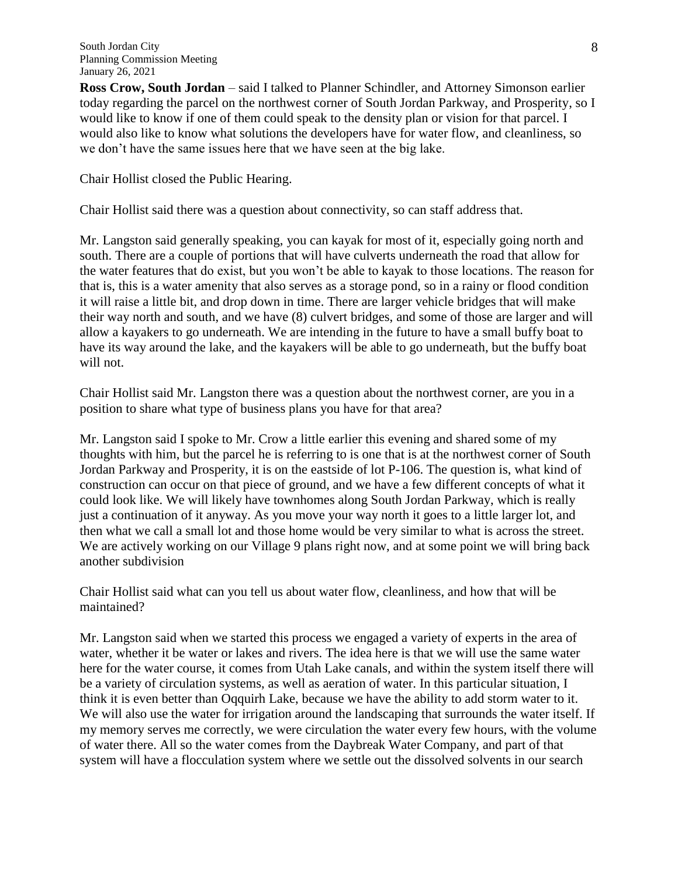**Ross Crow, South Jordan** – said I talked to Planner Schindler, and Attorney Simonson earlier today regarding the parcel on the northwest corner of South Jordan Parkway, and Prosperity, so I would like to know if one of them could speak to the density plan or vision for that parcel. I would also like to know what solutions the developers have for water flow, and cleanliness, so we don't have the same issues here that we have seen at the big lake.

Chair Hollist closed the Public Hearing.

Chair Hollist said there was a question about connectivity, so can staff address that.

Mr. Langston said generally speaking, you can kayak for most of it, especially going north and south. There are a couple of portions that will have culverts underneath the road that allow for the water features that do exist, but you won't be able to kayak to those locations. The reason for that is, this is a water amenity that also serves as a storage pond, so in a rainy or flood condition it will raise a little bit, and drop down in time. There are larger vehicle bridges that will make their way north and south, and we have (8) culvert bridges, and some of those are larger and will allow a kayakers to go underneath. We are intending in the future to have a small buffy boat to have its way around the lake, and the kayakers will be able to go underneath, but the buffy boat will not.

Chair Hollist said Mr. Langston there was a question about the northwest corner, are you in a position to share what type of business plans you have for that area?

Mr. Langston said I spoke to Mr. Crow a little earlier this evening and shared some of my thoughts with him, but the parcel he is referring to is one that is at the northwest corner of South Jordan Parkway and Prosperity, it is on the eastside of lot P-106. The question is, what kind of construction can occur on that piece of ground, and we have a few different concepts of what it could look like. We will likely have townhomes along South Jordan Parkway, which is really just a continuation of it anyway. As you move your way north it goes to a little larger lot, and then what we call a small lot and those home would be very similar to what is across the street. We are actively working on our Village 9 plans right now, and at some point we will bring back another subdivision

Chair Hollist said what can you tell us about water flow, cleanliness, and how that will be maintained?

Mr. Langston said when we started this process we engaged a variety of experts in the area of water, whether it be water or lakes and rivers. The idea here is that we will use the same water here for the water course, it comes from Utah Lake canals, and within the system itself there will be a variety of circulation systems, as well as aeration of water. In this particular situation, I think it is even better than Oqquirh Lake, because we have the ability to add storm water to it. We will also use the water for irrigation around the landscaping that surrounds the water itself. If my memory serves me correctly, we were circulation the water every few hours, with the volume of water there. All so the water comes from the Daybreak Water Company, and part of that system will have a flocculation system where we settle out the dissolved solvents in our search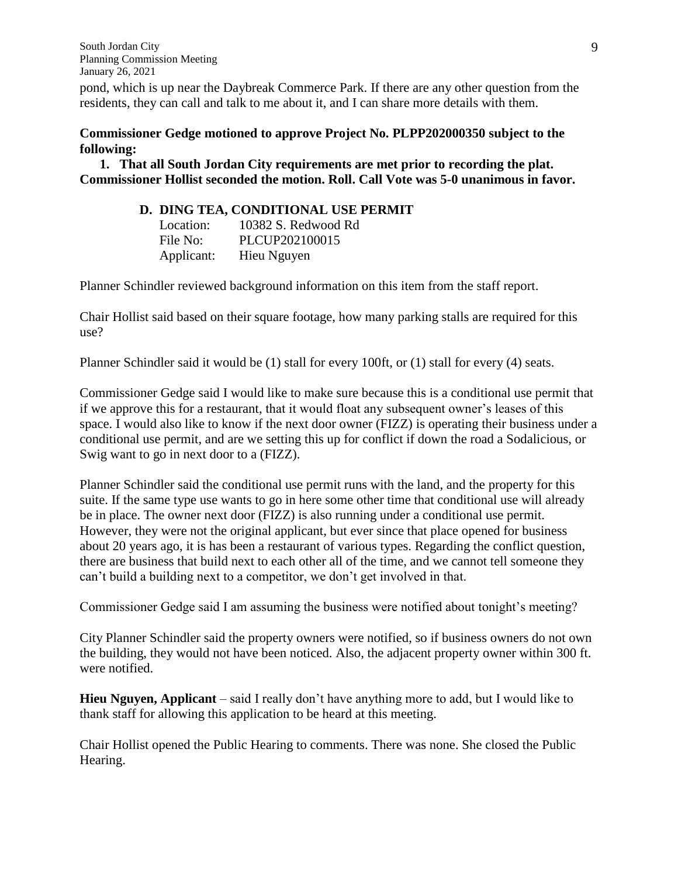pond, which is up near the Daybreak Commerce Park. If there are any other question from the residents, they can call and talk to me about it, and I can share more details with them.

### **Commissioner Gedge motioned to approve Project No. PLPP202000350 subject to the following:**

**1. That all South Jordan City requirements are met prior to recording the plat. Commissioner Hollist seconded the motion. Roll. Call Vote was 5-0 unanimous in favor.**

### **D. DING TEA, CONDITIONAL USE PERMIT**

| Location:  | 10382 S. Redwood Rd |
|------------|---------------------|
| File No:   | PLCUP202100015      |
| Applicant: | Hieu Nguyen         |

Planner Schindler reviewed background information on this item from the staff report.

Chair Hollist said based on their square footage, how many parking stalls are required for this use?

Planner Schindler said it would be (1) stall for every 100ft, or (1) stall for every (4) seats.

Commissioner Gedge said I would like to make sure because this is a conditional use permit that if we approve this for a restaurant, that it would float any subsequent owner's leases of this space. I would also like to know if the next door owner (FIZZ) is operating their business under a conditional use permit, and are we setting this up for conflict if down the road a Sodalicious, or Swig want to go in next door to a (FIZZ).

Planner Schindler said the conditional use permit runs with the land, and the property for this suite. If the same type use wants to go in here some other time that conditional use will already be in place. The owner next door (FIZZ) is also running under a conditional use permit. However, they were not the original applicant, but ever since that place opened for business about 20 years ago, it is has been a restaurant of various types. Regarding the conflict question, there are business that build next to each other all of the time, and we cannot tell someone they can't build a building next to a competitor, we don't get involved in that.

Commissioner Gedge said I am assuming the business were notified about tonight's meeting?

City Planner Schindler said the property owners were notified, so if business owners do not own the building, they would not have been noticed. Also, the adjacent property owner within 300 ft. were notified.

**Hieu Nguyen, Applicant** – said I really don't have anything more to add, but I would like to thank staff for allowing this application to be heard at this meeting.

Chair Hollist opened the Public Hearing to comments. There was none. She closed the Public Hearing.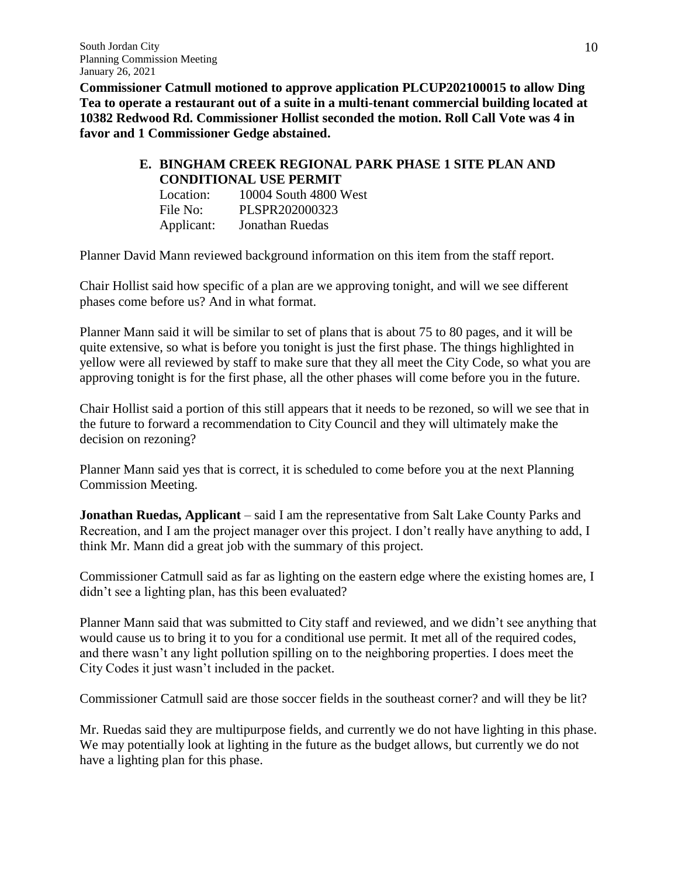**Commissioner Catmull motioned to approve application PLCUP202100015 to allow Ding Tea to operate a restaurant out of a suite in a multi-tenant commercial building located at 10382 Redwood Rd. Commissioner Hollist seconded the motion. Roll Call Vote was 4 in favor and 1 Commissioner Gedge abstained.** 

#### **E. BINGHAM CREEK REGIONAL PARK PHASE 1 SITE PLAN AND CONDITIONAL USE PERMIT**

| <u>Condition all collisions</u> |                       |  |
|---------------------------------|-----------------------|--|
| Location:                       | 10004 South 4800 West |  |
| File No:                        | PLSPR202000323        |  |
| Applicant:                      | Jonathan Ruedas       |  |

Planner David Mann reviewed background information on this item from the staff report.

Chair Hollist said how specific of a plan are we approving tonight, and will we see different phases come before us? And in what format.

Planner Mann said it will be similar to set of plans that is about 75 to 80 pages, and it will be quite extensive, so what is before you tonight is just the first phase. The things highlighted in yellow were all reviewed by staff to make sure that they all meet the City Code, so what you are approving tonight is for the first phase, all the other phases will come before you in the future.

Chair Hollist said a portion of this still appears that it needs to be rezoned, so will we see that in the future to forward a recommendation to City Council and they will ultimately make the decision on rezoning?

Planner Mann said yes that is correct, it is scheduled to come before you at the next Planning Commission Meeting.

**Jonathan Ruedas, Applicant** – said I am the representative from Salt Lake County Parks and Recreation, and I am the project manager over this project. I don't really have anything to add, I think Mr. Mann did a great job with the summary of this project.

Commissioner Catmull said as far as lighting on the eastern edge where the existing homes are, I didn't see a lighting plan, has this been evaluated?

Planner Mann said that was submitted to City staff and reviewed, and we didn't see anything that would cause us to bring it to you for a conditional use permit. It met all of the required codes, and there wasn't any light pollution spilling on to the neighboring properties. I does meet the City Codes it just wasn't included in the packet.

Commissioner Catmull said are those soccer fields in the southeast corner? and will they be lit?

Mr. Ruedas said they are multipurpose fields, and currently we do not have lighting in this phase. We may potentially look at lighting in the future as the budget allows, but currently we do not have a lighting plan for this phase.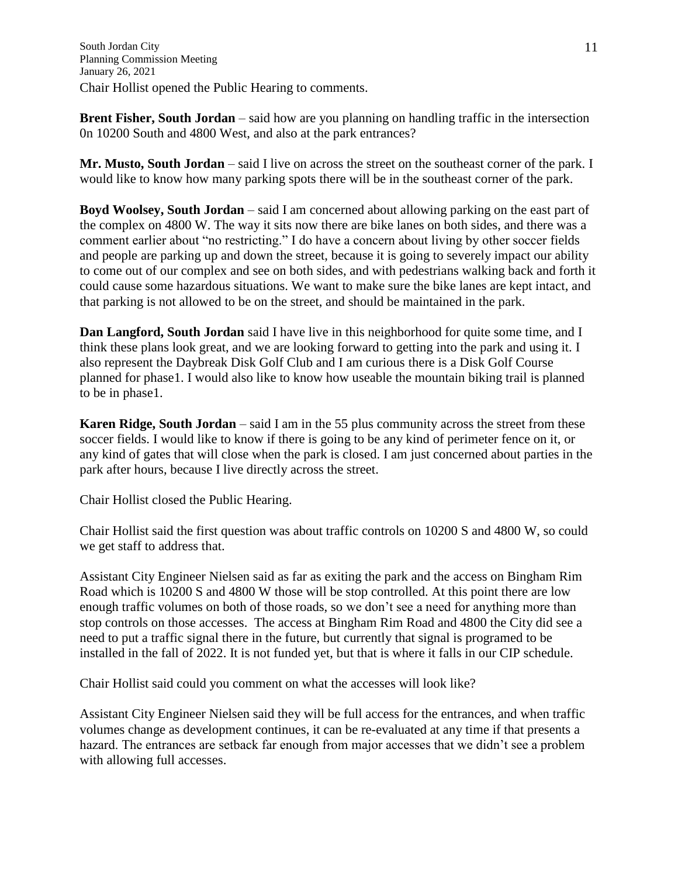**Brent Fisher, South Jordan** – said how are you planning on handling traffic in the intersection 0n 10200 South and 4800 West, and also at the park entrances?

**Mr. Musto, South Jordan** – said I live on across the street on the southeast corner of the park. I would like to know how many parking spots there will be in the southeast corner of the park.

**Boyd Woolsey, South Jordan** – said I am concerned about allowing parking on the east part of the complex on 4800 W. The way it sits now there are bike lanes on both sides, and there was a comment earlier about "no restricting." I do have a concern about living by other soccer fields and people are parking up and down the street, because it is going to severely impact our ability to come out of our complex and see on both sides, and with pedestrians walking back and forth it could cause some hazardous situations. We want to make sure the bike lanes are kept intact, and that parking is not allowed to be on the street, and should be maintained in the park.

**Dan Langford, South Jordan** said I have live in this neighborhood for quite some time, and I think these plans look great, and we are looking forward to getting into the park and using it. I also represent the Daybreak Disk Golf Club and I am curious there is a Disk Golf Course planned for phase1. I would also like to know how useable the mountain biking trail is planned to be in phase1.

**Karen Ridge, South Jordan** – said I am in the 55 plus community across the street from these soccer fields. I would like to know if there is going to be any kind of perimeter fence on it, or any kind of gates that will close when the park is closed. I am just concerned about parties in the park after hours, because I live directly across the street.

Chair Hollist closed the Public Hearing.

Chair Hollist said the first question was about traffic controls on 10200 S and 4800 W, so could we get staff to address that.

Assistant City Engineer Nielsen said as far as exiting the park and the access on Bingham Rim Road which is 10200 S and 4800 W those will be stop controlled. At this point there are low enough traffic volumes on both of those roads, so we don't see a need for anything more than stop controls on those accesses. The access at Bingham Rim Road and 4800 the City did see a need to put a traffic signal there in the future, but currently that signal is programed to be installed in the fall of 2022. It is not funded yet, but that is where it falls in our CIP schedule.

Chair Hollist said could you comment on what the accesses will look like?

Assistant City Engineer Nielsen said they will be full access for the entrances, and when traffic volumes change as development continues, it can be re-evaluated at any time if that presents a hazard. The entrances are setback far enough from major accesses that we didn't see a problem with allowing full accesses.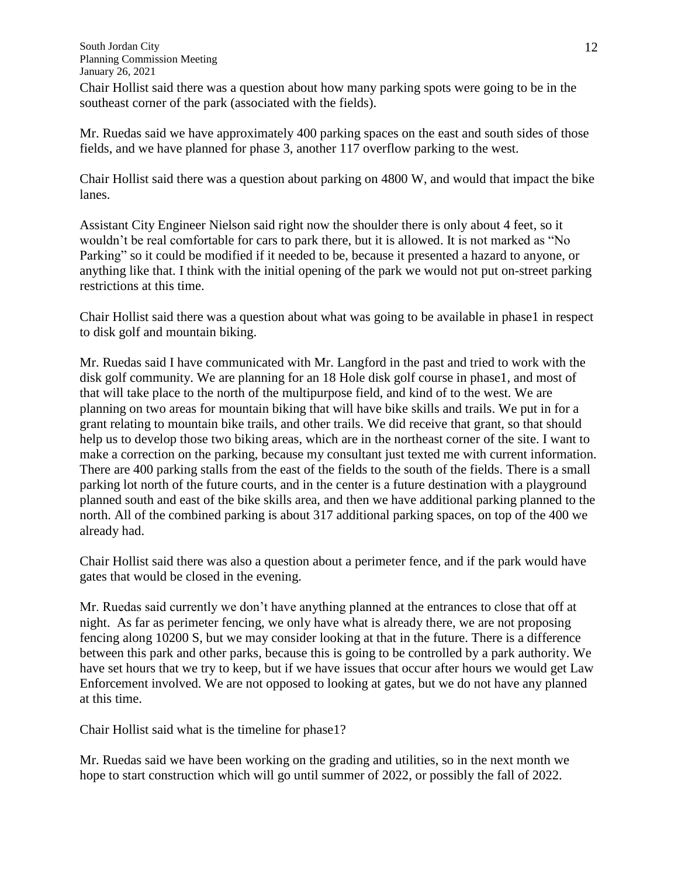Chair Hollist said there was a question about how many parking spots were going to be in the southeast corner of the park (associated with the fields).

Mr. Ruedas said we have approximately 400 parking spaces on the east and south sides of those fields, and we have planned for phase 3, another 117 overflow parking to the west.

Chair Hollist said there was a question about parking on 4800 W, and would that impact the bike lanes.

Assistant City Engineer Nielson said right now the shoulder there is only about 4 feet, so it wouldn't be real comfortable for cars to park there, but it is allowed. It is not marked as "No Parking" so it could be modified if it needed to be, because it presented a hazard to anyone, or anything like that. I think with the initial opening of the park we would not put on-street parking restrictions at this time.

Chair Hollist said there was a question about what was going to be available in phase1 in respect to disk golf and mountain biking.

Mr. Ruedas said I have communicated with Mr. Langford in the past and tried to work with the disk golf community. We are planning for an 18 Hole disk golf course in phase1, and most of that will take place to the north of the multipurpose field, and kind of to the west. We are planning on two areas for mountain biking that will have bike skills and trails. We put in for a grant relating to mountain bike trails, and other trails. We did receive that grant, so that should help us to develop those two biking areas, which are in the northeast corner of the site. I want to make a correction on the parking, because my consultant just texted me with current information. There are 400 parking stalls from the east of the fields to the south of the fields. There is a small parking lot north of the future courts, and in the center is a future destination with a playground planned south and east of the bike skills area, and then we have additional parking planned to the north. All of the combined parking is about 317 additional parking spaces, on top of the 400 we already had.

Chair Hollist said there was also a question about a perimeter fence, and if the park would have gates that would be closed in the evening.

Mr. Ruedas said currently we don't have anything planned at the entrances to close that off at night. As far as perimeter fencing, we only have what is already there, we are not proposing fencing along 10200 S, but we may consider looking at that in the future. There is a difference between this park and other parks, because this is going to be controlled by a park authority. We have set hours that we try to keep, but if we have issues that occur after hours we would get Law Enforcement involved. We are not opposed to looking at gates, but we do not have any planned at this time.

Chair Hollist said what is the timeline for phase1?

Mr. Ruedas said we have been working on the grading and utilities, so in the next month we hope to start construction which will go until summer of 2022, or possibly the fall of 2022.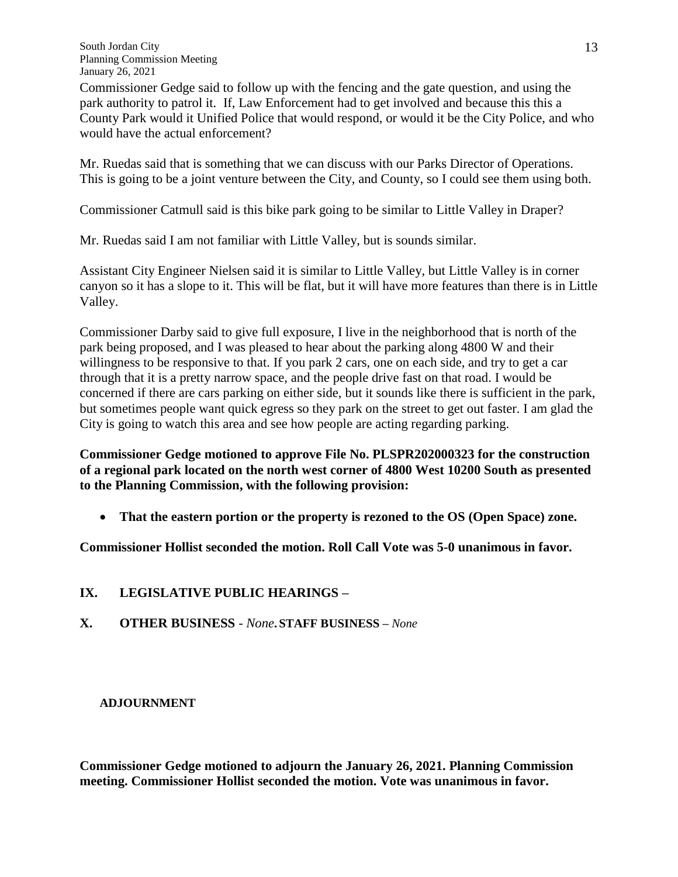Commissioner Gedge said to follow up with the fencing and the gate question, and using the park authority to patrol it. If, Law Enforcement had to get involved and because this this a County Park would it Unified Police that would respond, or would it be the City Police, and who would have the actual enforcement?

Mr. Ruedas said that is something that we can discuss with our Parks Director of Operations. This is going to be a joint venture between the City, and County, so I could see them using both.

Commissioner Catmull said is this bike park going to be similar to Little Valley in Draper?

Mr. Ruedas said I am not familiar with Little Valley, but is sounds similar.

Assistant City Engineer Nielsen said it is similar to Little Valley, but Little Valley is in corner canyon so it has a slope to it. This will be flat, but it will have more features than there is in Little Valley.

Commissioner Darby said to give full exposure, I live in the neighborhood that is north of the park being proposed, and I was pleased to hear about the parking along 4800 W and their willingness to be responsive to that. If you park 2 cars, one on each side, and try to get a car through that it is a pretty narrow space, and the people drive fast on that road. I would be concerned if there are cars parking on either side, but it sounds like there is sufficient in the park, but sometimes people want quick egress so they park on the street to get out faster. I am glad the City is going to watch this area and see how people are acting regarding parking.

**Commissioner Gedge motioned to approve File No. PLSPR202000323 for the construction of a regional park located on the north west corner of 4800 West 10200 South as presented to the Planning Commission, with the following provision:**

**That the eastern portion or the property is rezoned to the OS (Open Space) zone.** 

**Commissioner Hollist seconded the motion. Roll Call Vote was 5-0 unanimous in favor.**

# **IX. LEGISLATIVE PUBLIC HEARINGS –**

**X. OTHER BUSINESS** *- None***. STAFF BUSINESS –** *None*

# **ADJOURNMENT**

**Commissioner Gedge motioned to adjourn the January 26, 2021. Planning Commission meeting. Commissioner Hollist seconded the motion. Vote was unanimous in favor.**